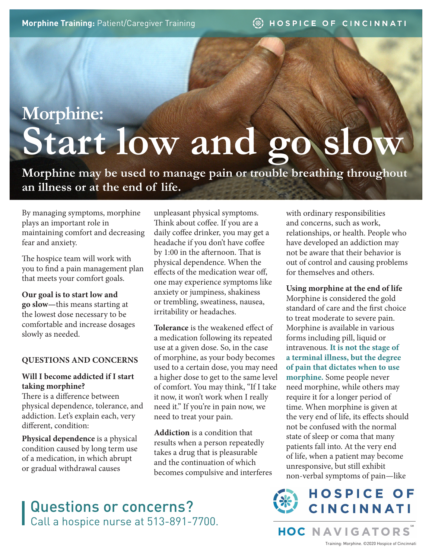# **Morphine: Start low and go slow**

**Morphine may be used to manage pain or trouble breathing throughout an illness or at the end of life.** 

By managing symptoms, morphine plays an important role in maintaining comfort and decreasing fear and anxiety.

The hospice team will work with you to find a pain management plan that meets your comfort goals.

#### **Our goal is to start low and**

**go slow—**this means starting at the lowest dose necessary to be comfortable and increase dosages slowly as needed.

#### **QUESTIONS AND CONCERNS**

#### **Will I become addicted if I start taking morphine?**

There is a difference between physical dependence, tolerance, and addiction. Let's explain each, very different, condition:

**Physical dependence** is a physical condition caused by long term use of a medication, in which abrupt or gradual withdrawal causes

unpleasant physical symptoms. Think about coffee. If you are a daily coffee drinker, you may get a headache if you don't have coffee by 1:00 in the afternoon. That is physical dependence. When the effects of the medication wear off, one may experience symptoms like anxiety or jumpiness, shakiness or trembling, sweatiness, nausea, irritability or headaches.

**Tolerance** is the weakened effect of a medication following its repeated use at a given dose. So, in the case of morphine, as your body becomes used to a certain dose, you may need a higher dose to get to the same level of comfort. You may think, "If I take it now, it won't work when I really need it." If you're in pain now, we need to treat your pain.

**Addiction** is a condition that results when a person repeatedly takes a drug that is pleasurable and the continuation of which becomes compulsive and interferes with ordinary responsibilities and concerns, such as work, relationships, or health. People who have developed an addiction may not be aware that their behavior is out of control and causing problems for themselves and others.

**Using morphine at the end of life** Morphine is considered the gold standard of care and the first choice to treat moderate to severe pain. Morphine is available in various forms including pill, liquid or intravenous. **It is not the stage of a terminal illness, but the degree of pain that dictates when to use morphine.** Some people never need morphine, while others may require it for a longer period of time. When morphine is given at the very end of life, its effects should not be confused with the normal state of sleep or coma that many patients fall into. At the very end of life, when a patient may become unresponsive, but still exhibit non-verbal symptoms of pain—like



**HOC NAVIGATORS** 

Training: Morphine. ©2020 Hospice of Cincinnati

### Questions or concerns? Call a hospice nurse at 513-891-7700.